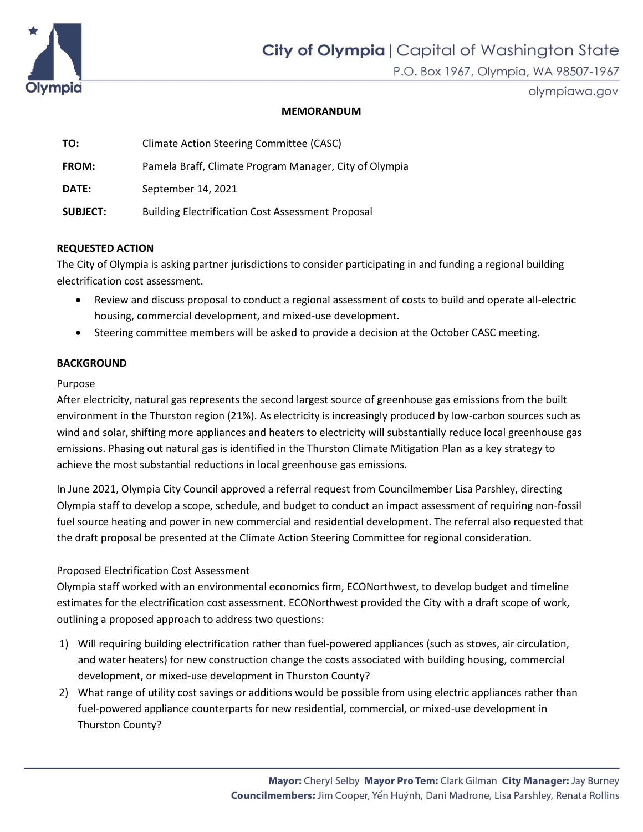

olympiawa.gov

## **MEMORANDUM**

| TO:             | Climate Action Steering Committee (CASC)                 |
|-----------------|----------------------------------------------------------|
| <b>FROM:</b>    | Pamela Braff, Climate Program Manager, City of Olympia   |
| DATE:           | September 14, 2021                                       |
| <b>SUBJECT:</b> | <b>Building Electrification Cost Assessment Proposal</b> |

# **REQUESTED ACTION**

The City of Olympia is asking partner jurisdictions to consider participating in and funding a regional building electrification cost assessment.

- Review and discuss proposal to conduct a regional assessment of costs to build and operate all-electric housing, commercial development, and mixed-use development.
- Steering committee members will be asked to provide a decision at the October CASC meeting.

# **BACKGROUND**

### Purpose

After electricity, natural gas represents the second largest source of greenhouse gas emissions from the built environment in the Thurston region (21%). As electricity is increasingly produced by low-carbon sources such as wind and solar, shifting more appliances and heaters to electricity will substantially reduce local greenhouse gas emissions. Phasing out natural gas is identified in the Thurston Climate Mitigation Plan as a key strategy to achieve the most substantial reductions in local greenhouse gas emissions.

In June 2021, Olympia City Council approved a referral request from Councilmember Lisa Parshley, directing Olympia staff to develop a scope, schedule, and budget to conduct an impact assessment of requiring non-fossil fuel source heating and power in new commercial and residential development. The referral also requested that the draft proposal be presented at the Climate Action Steering Committee for regional consideration.

# Proposed Electrification Cost Assessment

Olympia staff worked with an environmental economics firm, ECONorthwest, to develop budget and timeline estimates for the electrification cost assessment. ECONorthwest provided the City with a draft scope of work, outlining a proposed approach to address two questions:

- 1) Will requiring building electrification rather than fuel-powered appliances (such as stoves, air circulation, and water heaters) for new construction change the costs associated with building housing, commercial development, or mixed-use development in Thurston County?
- 2) What range of utility cost savings or additions would be possible from using electric appliances rather than fuel-powered appliance counterparts for new residential, commercial, or mixed-use development in Thurston County?